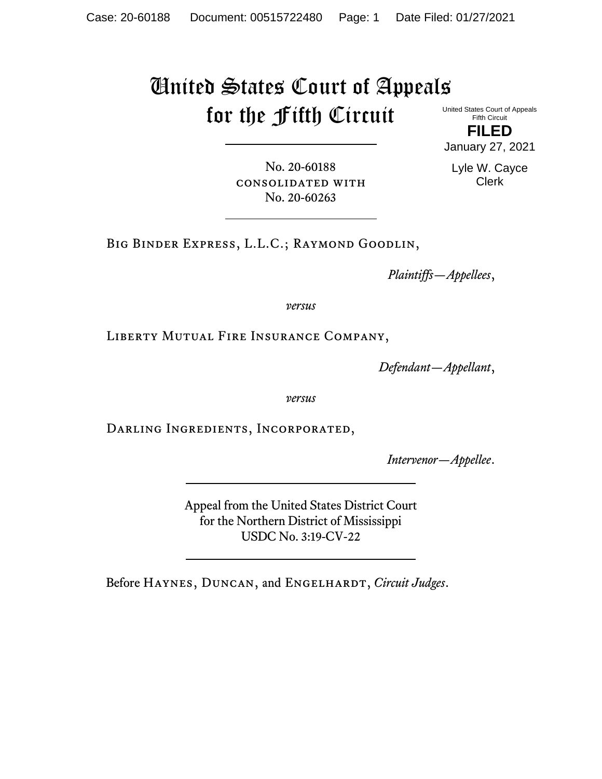# United States Court of Appeals for the Fifth Circuit United States Court of Appeals

Fifth Circuit **FILED** January 27, 2021

No. 20-60188 consolidated with No. 20-60263

Lyle W. Cayce Clerk

Big Binder Express, L.L.C.; Raymond Goodlin,

*Plaintiffs—Appellees*,

*versus*

Liberty Mutual Fire Insurance Company,

*Defendant—Appellant*,

*versus*

Darling Ingredients, Incorporated,

*Intervenor—Appellee*.

Appeal from the United States District Court for the Northern District of Mississippi USDC No. 3:19-CV-22

Before HAYNES, DUNCAN, and ENGELHARDT, Circuit Judges.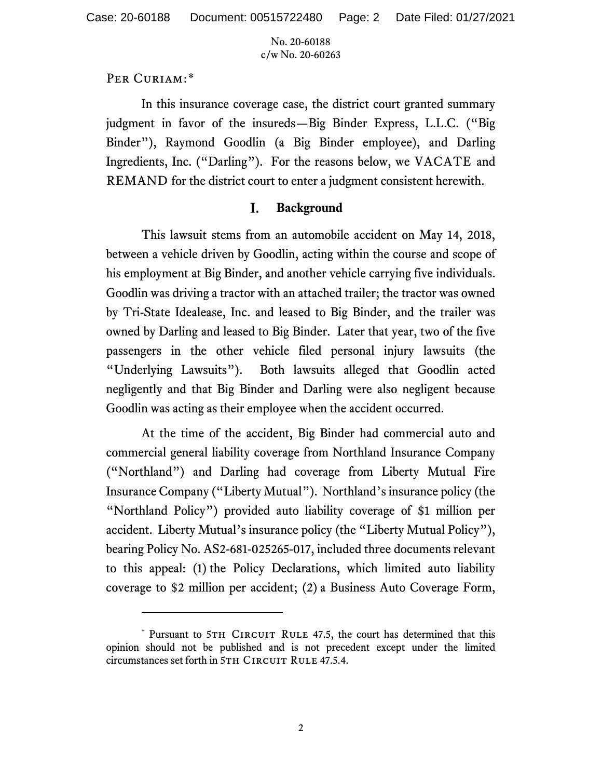## PER CURIAM:[\\*](#page-1-0)

In this insurance coverage case, the district court granted summary judgment in favor of the insureds—Big Binder Express, L.L.C. ("Big Binder"), Raymond Goodlin (a Big Binder employee), and Darling Ingredients, Inc. ("Darling"). For the reasons below, we VACATE and REMAND for the district court to enter a judgment consistent herewith.

#### I. **Background**

This lawsuit stems from an automobile accident on May 14, 2018, between a vehicle driven by Goodlin, acting within the course and scope of his employment at Big Binder, and another vehicle carrying five individuals. Goodlin was driving a tractor with an attached trailer; the tractor was owned by Tri-State Idealease, Inc. and leased to Big Binder, and the trailer was owned by Darling and leased to Big Binder. Later that year, two of the five passengers in the other vehicle filed personal injury lawsuits (the "Underlying Lawsuits"). Both lawsuits alleged that Goodlin acted negligently and that Big Binder and Darling were also negligent because Goodlin was acting as their employee when the accident occurred.

At the time of the accident, Big Binder had commercial auto and commercial general liability coverage from Northland Insurance Company ("Northland") and Darling had coverage from Liberty Mutual Fire Insurance Company ("Liberty Mutual"). Northland's insurance policy (the "Northland Policy") provided auto liability coverage of \$1 million per accident. Liberty Mutual's insurance policy (the "Liberty Mutual Policy"), bearing Policy No. AS2-681-025265-017, included three documents relevant to this appeal: (1) the Policy Declarations, which limited auto liability coverage to \$2 million per accident; (2) a Business Auto Coverage Form,

<span id="page-1-0"></span><sup>\*</sup> Pursuant to 5TH CIRCUIT RULE 47.5, the court has determined that this opinion should not be published and is not precedent except under the limited circumstances set forth in 5TH CIRCUIT RULE 47.5.4.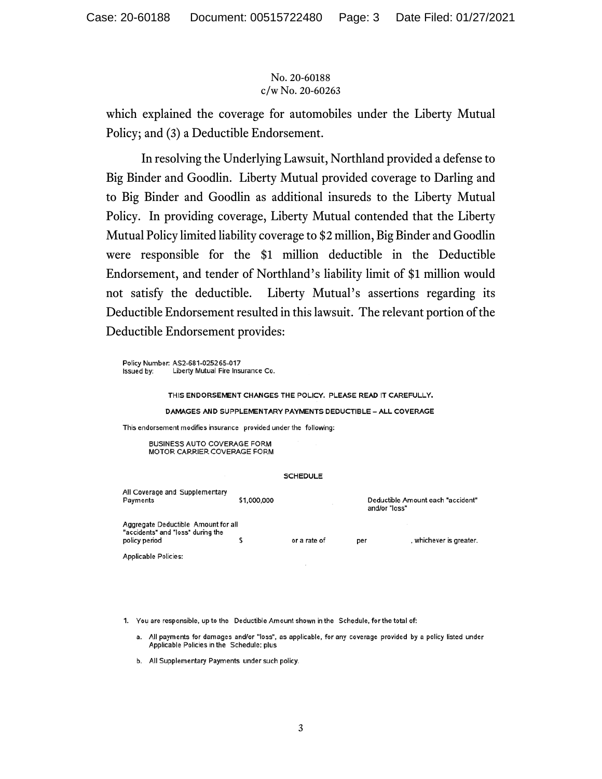which explained the coverage for automobiles under the Liberty Mutual Policy; and (3) a Deductible Endorsement.

In resolving the Underlying Lawsuit, Northland provided a defense to Big Binder and Goodlin. Liberty Mutual provided coverage to Darling and to Big Binder and Goodlin as additional insureds to the Liberty Mutual Policy. In providing coverage, Liberty Mutual contended that the Liberty Mutual Policy limited liability coverage to \$2 million, Big Binder and Goodlin were responsible for the \$1 million deductible in the Deductible Endorsement, and tender of Northland's liability limit of \$1 million would not satisfy the deductible. Liberty Mutual's assertions regarding its Deductible Endorsement resulted in this lawsuit. The relevant portion of the Deductible Endorsement provides:

Policy Number: AS2-681-025265-017 Issued by: Liberty Mutual Fire Insurance Co.

### THIS ENDORSEMENT CHANGES THE POLICY. PLEASE READ IT CAREFULLY.

### DAMAGES AND SUPPLEMENTARY PAYMENTS DEDUCTIBLE - ALL COVERAGE

This endorsement modifies insurance provided under the following:

**BUSINESS AUTO COVERAGE FORM** MOTOR CARRIER COVERAGE FORM

### **SCHEDULE**

| All Coverage and Supplementary<br>Payments                                                | \$1,000,000 |              |     | Deductible Amount each "accident"<br>and/or "loss" |  |
|-------------------------------------------------------------------------------------------|-------------|--------------|-----|----------------------------------------------------|--|
| Aggregate Deductible Amount for all<br>"accidents" and "loss" during the<br>policy period |             | or a rate of | per | , whichever is greater.                            |  |
| <b>Applicable Policies:</b>                                                               |             |              |     |                                                    |  |

1. You are responsible, up to the Deductible Amount shown in the Schedule, for the total of:

- a. All payments for damages and/or "loss", as applicable, for any coverage provided by a policy listed under Applicable Policies in the Schedule; plus
- b. All Supplementary Payments under such policy.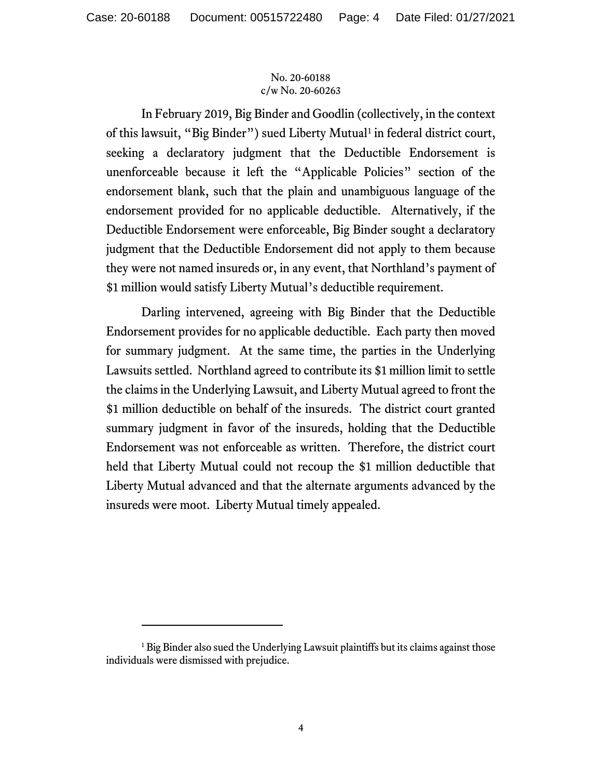In February 2019, Big Binder and Goodlin (collectively, in the context of this lawsuit, "Big Binder") sued Liberty Mutual<sup>[1](#page-3-0)</sup> in federal district court, seeking a declaratory judgment that the Deductible Endorsement is unenforceable because it left the "Applicable Policies" section of the endorsement blank, such that the plain and unambiguous language of the endorsement provided for no applicable deductible. Alternatively, if the Deductible Endorsement were enforceable, Big Binder sought a declaratory judgment that the Deductible Endorsement did not apply to them because they were not named insureds or, in any event, that Northland's payment of \$1 million would satisfy Liberty Mutual's deductible requirement.

Darling intervened, agreeing with Big Binder that the Deductible Endorsement provides for no applicable deductible. Each party then moved for summary judgment. At the same time, the parties in the Underlying Lawsuits settled. Northland agreed to contribute its \$1 million limit to settle the claims in the Underlying Lawsuit, and Liberty Mutual agreed to front the \$1 million deductible on behalf of the insureds. The district court granted summary judgment in favor of the insureds, holding that the Deductible Endorsement was not enforceable as written. Therefore, the district court held that Liberty Mutual could not recoup the \$1 million deductible that Liberty Mutual advanced and that the alternate arguments advanced by the insureds were moot. Liberty Mutual timely appealed.

<span id="page-3-0"></span><sup>&</sup>lt;sup>1</sup> Big Binder also sued the Underlying Lawsuit plaintiffs but its claims against those individuals were dismissed with prejudice.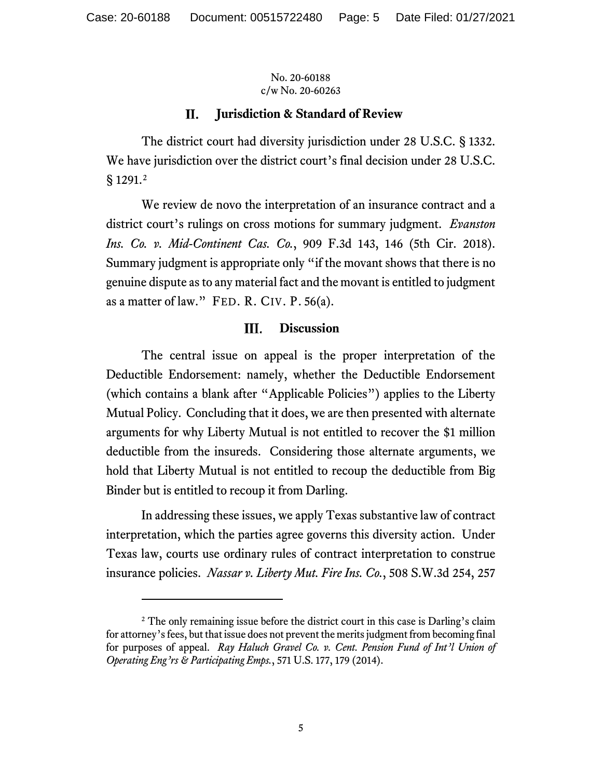#### П. **Jurisdiction & Standard of Review**

The district court had diversity jurisdiction under 28 U.S.C. § 1332. We have jurisdiction over the district court's final decision under 28 U.S.C. § 1291.[2](#page-4-0)

We review de novo the interpretation of an insurance contract and a district court's rulings on cross motions for summary judgment. *Evanston Ins. Co. v. Mid-Continent Cas. Co.*, 909 F.3d 143, 146 (5th Cir. 2018). Summary judgment is appropriate only "if the movant shows that there is no genuine dispute as to any material fact and the movant is entitled to judgment as a matter of law." FED. R. CIV. P. 56(a).

#### Ш. **Discussion**

The central issue on appeal is the proper interpretation of the Deductible Endorsement: namely, whether the Deductible Endorsement (which contains a blank after "Applicable Policies") applies to the Liberty Mutual Policy. Concluding that it does, we are then presented with alternate arguments for why Liberty Mutual is not entitled to recover the \$1 million deductible from the insureds. Considering those alternate arguments, we hold that Liberty Mutual is not entitled to recoup the deductible from Big Binder but is entitled to recoup it from Darling.

In addressing these issues, we apply Texas substantive law of contract interpretation, which the parties agree governs this diversity action. Under Texas law, courts use ordinary rules of contract interpretation to construe insurance policies. *Nassar v. Liberty Mut. Fire Ins. Co.*, 508 S.W.3d 254, 257

<span id="page-4-0"></span><sup>&</sup>lt;sup>2</sup> The only remaining issue before the district court in this case is Darling's claim for attorney's fees, but that issue does not prevent the merits judgment from becoming final for purposes of appeal. *Ray Haluch Gravel Co. v. Cent. Pension Fund of Int'l Union of Operating Eng'rs & Participating Emps.*, 571 U.S. 177, 179 (2014).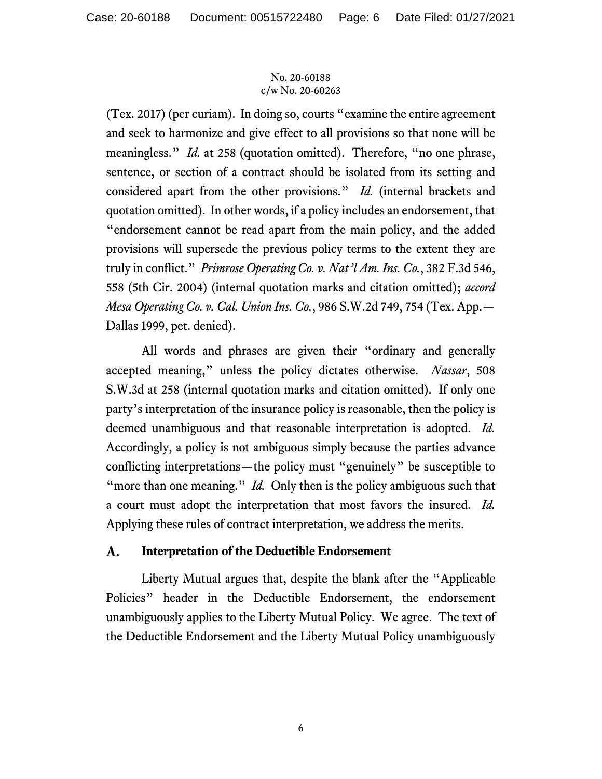(Tex. 2017) (per curiam). In doing so, courts "examine the entire agreement and seek to harmonize and give effect to all provisions so that none will be meaningless." *Id.* at 258 (quotation omitted). Therefore, "no one phrase, sentence, or section of a contract should be isolated from its setting and considered apart from the other provisions." *Id.* (internal brackets and quotation omitted). In other words, if a policy includes an endorsement, that "endorsement cannot be read apart from the main policy, and the added provisions will supersede the previous policy terms to the extent they are truly in conflict." *Primrose Operating Co. v. Nat'l Am. Ins. Co.*, 382 F.3d 546, 558 (5th Cir. 2004) (internal quotation marks and citation omitted); *accord Mesa Operating Co. v. Cal. Union Ins. Co.*, 986 S.W.2d 749, 754 (Tex. App.— Dallas 1999, pet. denied).

All words and phrases are given their "ordinary and generally accepted meaning," unless the policy dictates otherwise. *Nassar*, 508 S.W.3d at 258 (internal quotation marks and citation omitted). If only one party's interpretation of the insurance policy is reasonable, then the policy is deemed unambiguous and that reasonable interpretation is adopted. *Id.* Accordingly, a policy is not ambiguous simply because the parties advance conflicting interpretations—the policy must "genuinely" be susceptible to "more than one meaning." *Id.* Only then is the policy ambiguous such that a court must adopt the interpretation that most favors the insured. *Id.* Applying these rules of contract interpretation, we address the merits.

#### A. **Interpretation of the Deductible Endorsement**

Liberty Mutual argues that, despite the blank after the "Applicable Policies" header in the Deductible Endorsement, the endorsement unambiguously applies to the Liberty Mutual Policy. We agree. The text of the Deductible Endorsement and the Liberty Mutual Policy unambiguously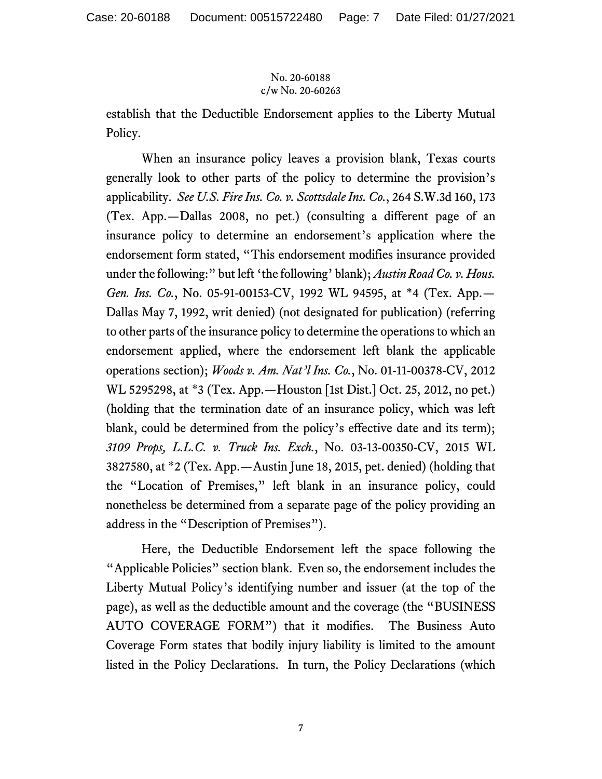establish that the Deductible Endorsement applies to the Liberty Mutual Policy.

When an insurance policy leaves a provision blank, Texas courts generally look to other parts of the policy to determine the provision's applicability. *See U.S. Fire Ins. Co. v. Scottsdale Ins. Co.*, 264 S.W.3d 160, 173 (Tex. App.—Dallas 2008, no pet.) (consulting a different page of an insurance policy to determine an endorsement's application where the endorsement form stated, "This endorsement modifies insurance provided under the following:" but left 'the following' blank); *Austin Road Co. v. Hous. Gen. Ins. Co.*, No. 05-91-00153-CV, 1992 WL 94595, at \*4 (Tex. App.— Dallas May 7, 1992, writ denied) (not designated for publication) (referring to other parts of the insurance policy to determine the operations to which an endorsement applied, where the endorsement left blank the applicable operations section); *Woods v. Am. Nat'l Ins. Co.*, No. 01-11-00378-CV, 2012 WL 5295298, at \*3 (Tex. App.—Houston [1st Dist.] Oct. 25, 2012, no pet.) (holding that the termination date of an insurance policy, which was left blank, could be determined from the policy's effective date and its term); *3109 Props, L.L.C. v. Truck Ins. Exch.*, No. 03-13-00350-CV, 2015 WL 3827580, at \*2 (Tex. App.—Austin June 18, 2015, pet. denied) (holding that the "Location of Premises," left blank in an insurance policy, could nonetheless be determined from a separate page of the policy providing an address in the "Description of Premises").

Here, the Deductible Endorsement left the space following the "Applicable Policies" section blank. Even so, the endorsement includes the Liberty Mutual Policy's identifying number and issuer (at the top of the page), as well as the deductible amount and the coverage (the "BUSINESS AUTO COVERAGE FORM") that it modifies. The Business Auto Coverage Form states that bodily injury liability is limited to the amount listed in the Policy Declarations. In turn, the Policy Declarations (which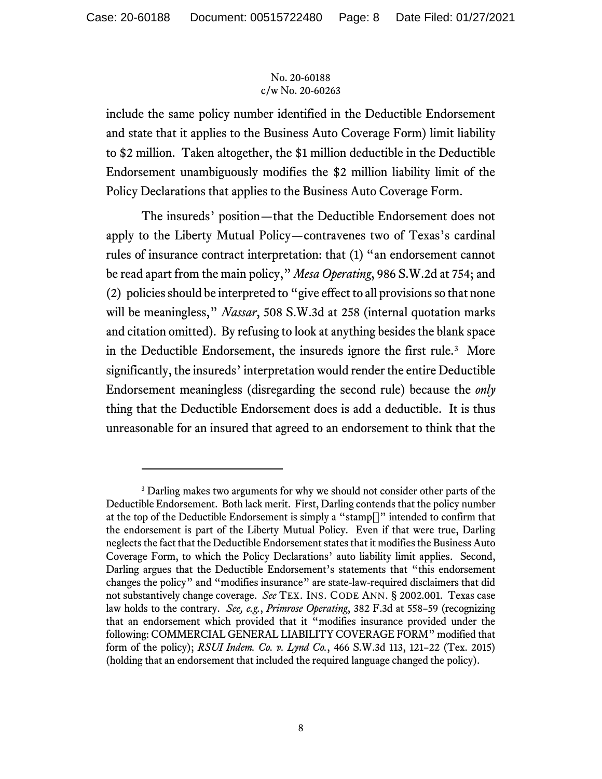include the same policy number identified in the Deductible Endorsement and state that it applies to the Business Auto Coverage Form) limit liability to \$2 million. Taken altogether, the \$1 million deductible in the Deductible Endorsement unambiguously modifies the \$2 million liability limit of the Policy Declarations that applies to the Business Auto Coverage Form.

The insureds' position—that the Deductible Endorsement does not apply to the Liberty Mutual Policy—contravenes two of Texas's cardinal rules of insurance contract interpretation: that (1) "an endorsement cannot be read apart from the main policy," *Mesa Operating*, 986 S.W.2d at 754; and (2) policies should be interpreted to "give effect to all provisions so that none will be meaningless," *Nassar*, 508 S.W.3d at 258 (internal quotation marks and citation omitted). By refusing to look at anything besides the blank space in the Deductible Endorsement, the insureds ignore the first rule.<sup>[3](#page-7-0)</sup> More significantly, the insureds' interpretation would render the entire Deductible Endorsement meaningless (disregarding the second rule) because the *only*  thing that the Deductible Endorsement does is add a deductible. It is thus unreasonable for an insured that agreed to an endorsement to think that the

<span id="page-7-0"></span><sup>&</sup>lt;sup>3</sup> Darling makes two arguments for why we should not consider other parts of the Deductible Endorsement. Both lack merit. First, Darling contends that the policy number at the top of the Deductible Endorsement is simply a "stamp[]" intended to confirm that the endorsement is part of the Liberty Mutual Policy. Even if that were true, Darling neglects the fact that the Deductible Endorsement states that it modifies the Business Auto Coverage Form, to which the Policy Declarations' auto liability limit applies. Second, Darling argues that the Deductible Endorsement's statements that "this endorsement changes the policy" and "modifies insurance" are state-law-required disclaimers that did not substantively change coverage. *See* TEX. INS. CODE ANN. § 2002.001. Texas case law holds to the contrary. *See, e.g.*, *Primrose Operating*, 382 F.3d at 558–59 (recognizing that an endorsement which provided that it "modifies insurance provided under the following: COMMERCIAL GENERAL LIABILITY COVERAGE FORM" modified that form of the policy); *RSUI Indem. Co. v. Lynd Co.*, 466 S.W.3d 113, 121–22 (Tex. 2015) (holding that an endorsement that included the required language changed the policy).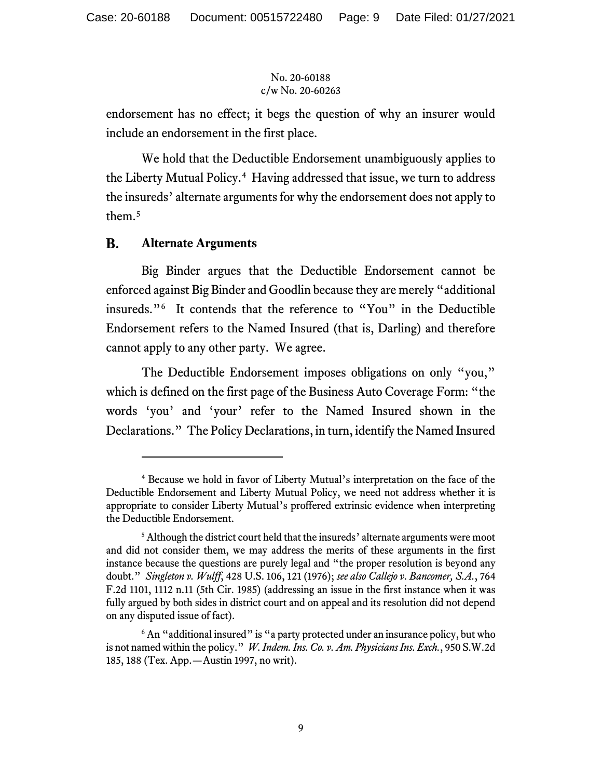endorsement has no effect; it begs the question of why an insurer would include an endorsement in the first place.

We hold that the Deductible Endorsement unambiguously applies to the Liberty Mutual Policy. [4](#page-8-0) Having addressed that issue, we turn to address the insureds' alternate arguments for why the endorsement does not apply to them.[5](#page-8-1)

#### **B. Alternate Arguments**

Big Binder argues that the Deductible Endorsement cannot be enforced against Big Binder and Goodlin because they are merely "additional insureds."[6](#page-8-2) It contends that the reference to "You" in the Deductible Endorsement refers to the Named Insured (that is, Darling) and therefore cannot apply to any other party. We agree.

The Deductible Endorsement imposes obligations on only "you," which is defined on the first page of the Business Auto Coverage Form: "the words 'you' and 'your' refer to the Named Insured shown in the Declarations." The Policy Declarations, in turn, identify the Named Insured

<span id="page-8-0"></span><sup>4</sup> Because we hold in favor of Liberty Mutual's interpretation on the face of the Deductible Endorsement and Liberty Mutual Policy, we need not address whether it is appropriate to consider Liberty Mutual's proffered extrinsic evidence when interpreting the Deductible Endorsement.

<span id="page-8-1"></span><sup>&</sup>lt;sup>5</sup> Although the district court held that the insureds' alternate arguments were moot and did not consider them, we may address the merits of these arguments in the first instance because the questions are purely legal and "the proper resolution is beyond any doubt." *Singleton v. Wulff*, 428 U.S. 106, 121 (1976); *see also Callejo v. Bancomer, S.A.*, 764 F.2d 1101, 1112 n.11 (5th Cir. 1985) (addressing an issue in the first instance when it was fully argued by both sides in district court and on appeal and its resolution did not depend on any disputed issue of fact).

<span id="page-8-2"></span><sup>&</sup>lt;sup>6</sup> An "additional insured" is "a party protected under an insurance policy, but who is not named within the policy." *W. Indem. Ins. Co. v. Am. Physicians Ins. Exch.*, 950 S.W.2d 185, 188 (Tex. App.—Austin 1997, no writ).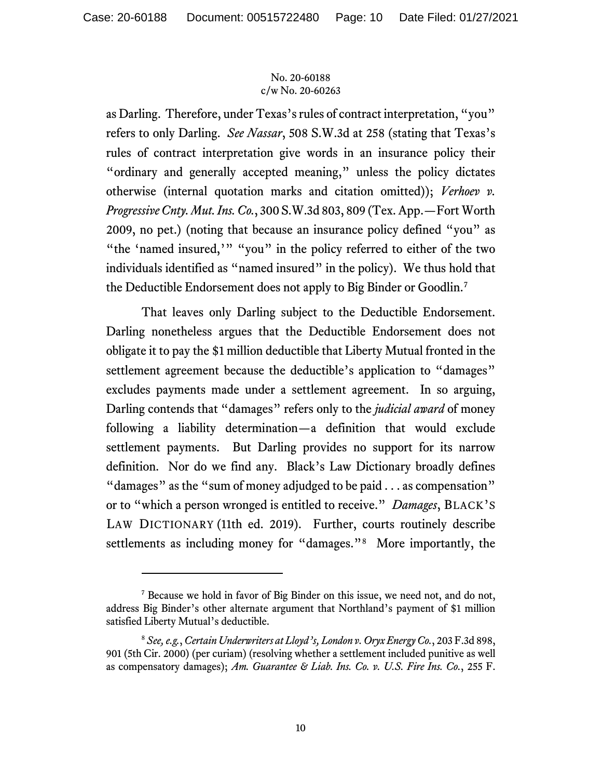as Darling. Therefore, under Texas's rules of contract interpretation, "you" refers to only Darling. *See Nassar*, 508 S.W.3d at 258 (stating that Texas's rules of contract interpretation give words in an insurance policy their "ordinary and generally accepted meaning," unless the policy dictates otherwise (internal quotation marks and citation omitted)); *Verhoev v. Progressive Cnty. Mut. Ins. Co.*, 300 S.W.3d 803, 809 (Tex. App.—Fort Worth 2009, no pet.) (noting that because an insurance policy defined "you" as "the 'named insured,'" "you" in the policy referred to either of the two individuals identified as "named insured" in the policy). We thus hold that the Deductible Endorsement does not apply to Big Binder or Goodlin.[7](#page-9-0)

That leaves only Darling subject to the Deductible Endorsement. Darling nonetheless argues that the Deductible Endorsement does not obligate it to pay the \$1 million deductible that Liberty Mutual fronted in the settlement agreement because the deductible's application to "damages" excludes payments made under a settlement agreement. In so arguing, Darling contends that "damages" refers only to the *judicial award* of money following a liability determination—a definition that would exclude settlement payments. But Darling provides no support for its narrow definition. Nor do we find any. Black's Law Dictionary broadly defines "damages" as the "sum of money adjudged to be paid . . . as compensation" or to "which a person wronged is entitled to receive." *Damages*, BLACK'S LAW DICTIONARY (11th ed. 2019). Further, courts routinely describe settlements as including money for "damages."<sup>8</sup> More importantly, the

<span id="page-9-0"></span><sup>7</sup> Because we hold in favor of Big Binder on this issue, we need not, and do not, address Big Binder's other alternate argument that Northland's payment of \$1 million satisfied Liberty Mutual's deductible.

<span id="page-9-1"></span><sup>8</sup> *See, e.g.*, *Certain Underwriters at Lloyd's, London v. Oryx Energy Co.*, 203 F.3d 898, 901 (5th Cir. 2000) (per curiam) (resolving whether a settlement included punitive as well as compensatory damages); *Am. Guarantee & Liab. Ins. Co. v. U.S. Fire Ins. Co.*, 255 F.